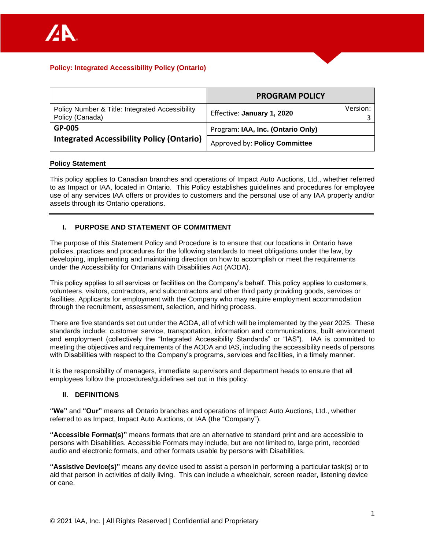|                                                                    | <b>PROGRAM POLICY</b>                  |  |  |
|--------------------------------------------------------------------|----------------------------------------|--|--|
| Policy Number & Title: Integrated Accessibility<br>Policy (Canada) | Version:<br>Effective: January 1, 2020 |  |  |
| GP-005                                                             | Program: IAA, Inc. (Ontario Only)      |  |  |
| <b>Integrated Accessibility Policy (Ontario)</b>                   | Approved by: Policy Committee          |  |  |

### **Policy Statement**

This policy applies to Canadian branches and operations of Impact Auto Auctions, Ltd., whether referred to as Impact or IAA, located in Ontario. This Policy establishes guidelines and procedures for employee use of any services IAA offers or provides to customers and the personal use of any IAA property and/or assets through its Ontario operations.

# **I. PURPOSE AND STATEMENT OF COMMITMENT**

The purpose of this Statement Policy and Procedure is to ensure that our locations in Ontario have policies, practices and procedures for the following standards to meet obligations under the law, by developing, implementing and maintaining direction on how to accomplish or meet the requirements under the Accessibility for Ontarians with Disabilities Act (AODA).

This policy applies to all services or facilities on the Company's behalf. This policy applies to customers, volunteers, visitors, contractors, and subcontractors and other third party providing goods, services or facilities. Applicants for employment with the Company who may require employment accommodation through the recruitment, assessment, selection, and hiring process.

There are five standards set out under the AODA, all of which will be implemented by the year 2025. These standards include: customer service, transportation, information and communications, built environment and employment (collectively the "Integrated Accessibility Standards" or "IAS"). IAA is committed to meeting the objectives and requirements of the AODA and IAS, including the accessibility needs of persons with Disabilities with respect to the Company's programs, services and facilities, in a timely manner.

It is the responsibility of managers, immediate supervisors and department heads to ensure that all employees follow the procedures/guidelines set out in this policy.

### **II. DEFINITIONS**

**"We"** and **"Our"** means all Ontario branches and operations of Impact Auto Auctions, Ltd., whether referred to as Impact, Impact Auto Auctions, or IAA (the "Company").

**"Accessible Format(s)"** means formats that are an alternative to standard print and are accessible to persons with Disabilities. Accessible Formats may include, but are not limited to, large print, recorded audio and electronic formats, and other formats usable by persons with Disabilities.

**"Assistive Device(s)"** means any device used to assist a person in performing a particular task(s) or to aid that person in activities of daily living. This can include a wheelchair, screen reader, listening device or cane.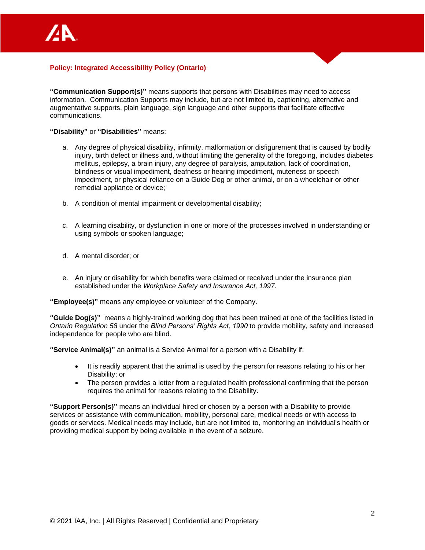

**"Communication Support(s)"** means supports that persons with Disabilities may need to access information. Communication Supports may include, but are not limited to, captioning, alternative and augmentative supports, plain language, sign language and other supports that facilitate effective communications.

#### **"Disability"** or **"Disabilities"** means:

- a. Any degree of physical disability, infirmity, malformation or disfigurement that is caused by bodily injury, birth defect or illness and, without limiting the generality of the foregoing, includes diabetes mellitus, epilepsy, a brain injury, any degree of paralysis, amputation, lack of coordination, blindness or visual impediment, deafness or hearing impediment, muteness or speech impediment, or physical reliance on a Guide Dog or other animal, or on a wheelchair or other remedial appliance or device;
- b. A condition of mental impairment or developmental disability;
- c. A learning disability, or dysfunction in one or more of the processes involved in understanding or using symbols or spoken language;
- d. A mental disorder; or
- e. An injury or disability for which benefits were claimed or received under the insurance plan established under the *Workplace Safety and Insurance Act, 1997*.

**"Employee(s)"** means any employee or volunteer of the Company.

**"Guide Dog(s)"** means a highly-trained working dog that has been trained at one of the facilities listed in *Ontario Regulation 58* under the *Blind Persons' Rights Act, 1990* to provide mobility, safety and increased independence for people who are blind.

**"Service Animal(s)"** an animal is a Service Animal for a person with a Disability if:

- It is readily apparent that the animal is used by the person for reasons relating to his or her Disability; or
- The person provides a letter from a regulated health professional confirming that the person requires the animal for reasons relating to the Disability.

**"Support Person(s)"** means an individual hired or chosen by a person with a Disability to provide services or assistance with communication, mobility, personal care, medical needs or with access to goods or services. Medical needs may include, but are not limited to, monitoring an individual's health or providing medical support by being available in the event of a seizure.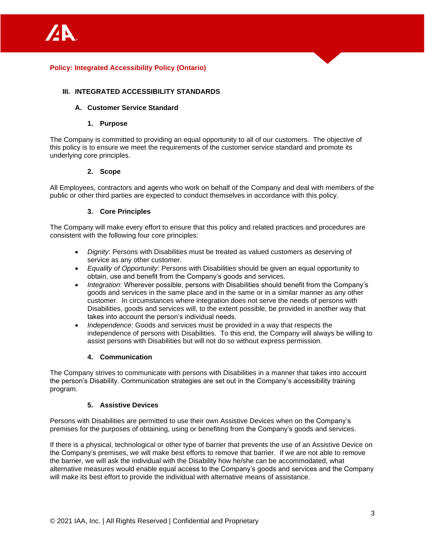### **III. INTEGRATED ACCESSIBILITY STANDARDS**

#### **A. Customer Service Standard**

#### **1. Purpose**

The Company is committed to providing an equal opportunity to all of our customers. The objective of this policy is to ensure we meet the requirements of the customer service standard and promote its underlying core principles.

#### **2. Scope**

All Employees, contractors and agents who work on behalf of the Company and deal with members of the public or other third parties are expected to conduct themselves in accordance with this policy.

#### **3. Core Principles**

The Company will make every effort to ensure that this policy and related practices and procedures are consistent with the following four core principles:

- *Dignity*: Persons with Disabilities must be treated as valued customers as deserving of service as any other customer.
- *Equality of Opportunity*: Persons with Disabilities should be given an equal opportunity to obtain, use and benefit from the Company's goods and services.
- *Integration*: Wherever possible, persons with Disabilities should benefit from the Company's goods and services in the same place and in the same or in a similar manner as any other customer. In circumstances where integration does not serve the needs of persons with Disabilities, goods and services will, to the extent possible, be provided in another way that takes into account the person's individual needs.
- *Independence*: Goods and services must be provided in a way that respects the independence of persons with Disabilities. To this end, the Company will always be willing to assist persons with Disabilities but will not do so without express permission.

#### **4. Communication**

The Company strives to communicate with persons with Disabilities in a manner that takes into account the person's Disability. Communication strategies are set out in the Company's accessibility training program.

#### **5. Assistive Devices**

Persons with Disabilities are permitted to use their own Assistive Devices when on the Company's premises for the purposes of obtaining, using or benefiting from the Company's goods and services.

If there is a physical, technological or other type of barrier that prevents the use of an Assistive Device on the Company's premises, we will make best efforts to remove that barrier. If we are not able to remove the barrier, we will ask the individual with the Disability how he/she can be accommodated, what alternative measures would enable equal access to the Company's goods and services and the Company will make its best effort to provide the individual with alternative means of assistance.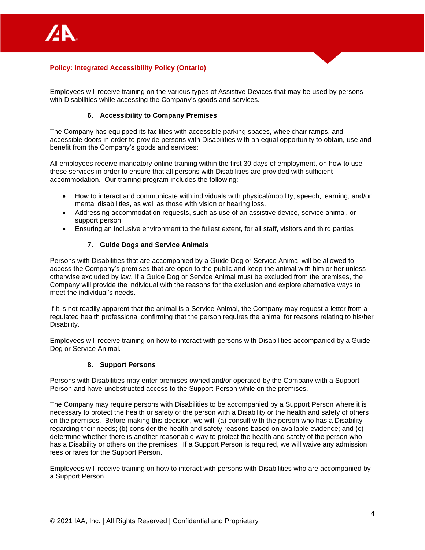

Employees will receive training on the various types of Assistive Devices that may be used by persons with Disabilities while accessing the Company's goods and services.

#### **6. Accessibility to Company Premises**

The Company has equipped its facilities with accessible parking spaces, wheelchair ramps, and accessible doors in order to provide persons with Disabilities with an equal opportunity to obtain, use and benefit from the Company's goods and services:

All employees receive mandatory online training within the first 30 days of employment, on how to use these services in order to ensure that all persons with Disabilities are provided with sufficient accommodation. Our training program includes the following:

- How to interact and communicate with individuals with physical/mobility, speech, learning, and/or mental disabilities, as well as those with vision or hearing loss.
- Addressing accommodation requests, such as use of an assistive device, service animal, or support person
- Ensuring an inclusive environment to the fullest extent, for all staff, visitors and third parties

#### **7. Guide Dogs and Service Animals**

Persons with Disabilities that are accompanied by a Guide Dog or Service Animal will be allowed to access the Company's premises that are open to the public and keep the animal with him or her unless otherwise excluded by law. If a Guide Dog or Service Animal must be excluded from the premises, the Company will provide the individual with the reasons for the exclusion and explore alternative ways to meet the individual's needs.

If it is not readily apparent that the animal is a Service Animal, the Company may request a letter from a regulated health professional confirming that the person requires the animal for reasons relating to his/her Disability.

Employees will receive training on how to interact with persons with Disabilities accompanied by a Guide Dog or Service Animal.

#### **8. Support Persons**

Persons with Disabilities may enter premises owned and/or operated by the Company with a Support Person and have unobstructed access to the Support Person while on the premises.

The Company may require persons with Disabilities to be accompanied by a Support Person where it is necessary to protect the health or safety of the person with a Disability or the health and safety of others on the premises. Before making this decision, we will: (a) consult with the person who has a Disability regarding their needs; (b) consider the health and safety reasons based on available evidence; and (c) determine whether there is another reasonable way to protect the health and safety of the person who has a Disability or others on the premises. If a Support Person is required, we will waive any admission fees or fares for the Support Person.

Employees will receive training on how to interact with persons with Disabilities who are accompanied by a Support Person.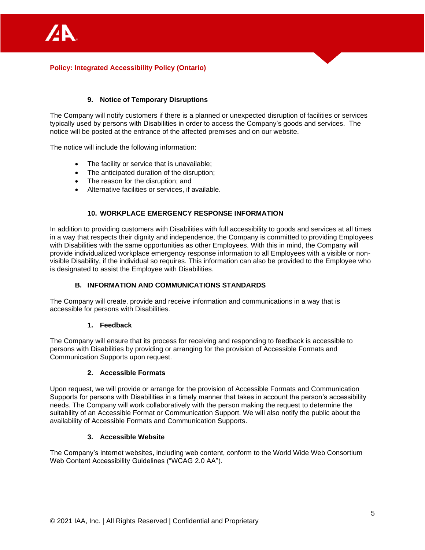

# **9. Notice of Temporary Disruptions**

The Company will notify customers if there is a planned or unexpected disruption of facilities or services typically used by persons with Disabilities in order to access the Company's goods and services. The notice will be posted at the entrance of the affected premises and on our website.

The notice will include the following information:

- The facility or service that is unavailable;
- The anticipated duration of the disruption;
- The reason for the disruption: and
- Alternative facilities or services, if available.

### **10. WORKPLACE EMERGENCY RESPONSE INFORMATION**

In addition to providing customers with Disabilities with full accessibility to goods and services at all times in a way that respects their dignity and independence, the Company is committed to providing Employees with Disabilities with the same opportunities as other Employees. With this in mind, the Company will provide individualized workplace emergency response information to all Employees with a visible or nonvisible Disability, if the individual so requires. This information can also be provided to the Employee who is designated to assist the Employee with Disabilities.

#### **B. INFORMATION AND COMMUNICATIONS STANDARDS**

The Company will create, provide and receive information and communications in a way that is accessible for persons with Disabilities.

### **1. Feedback**

The Company will ensure that its process for receiving and responding to feedback is accessible to persons with Disabilities by providing or arranging for the provision of Accessible Formats and Communication Supports upon request.

#### **2. Accessible Formats**

Upon request, we will provide or arrange for the provision of Accessible Formats and Communication Supports for persons with Disabilities in a timely manner that takes in account the person's accessibility needs. The Company will work collaboratively with the person making the request to determine the suitability of an Accessible Format or Communication Support. We will also notify the public about the availability of Accessible Formats and Communication Supports.

#### **3. Accessible Website**

The Company's internet websites, including web content, conform to the World Wide Web Consortium Web Content Accessibility Guidelines ("WCAG 2.0 AA").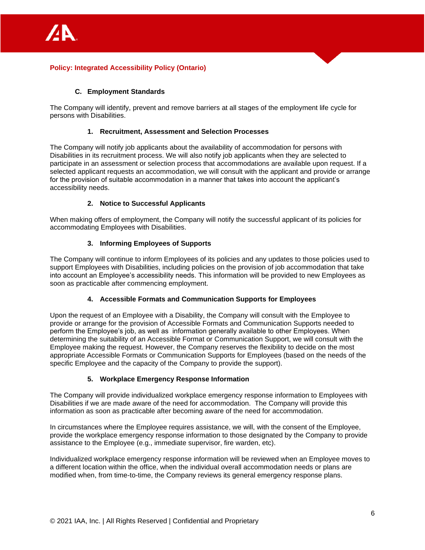

# **C. Employment Standards**

The Company will identify, prevent and remove barriers at all stages of the employment life cycle for persons with Disabilities.

### **1. Recruitment, Assessment and Selection Processes**

The Company will notify job applicants about the availability of accommodation for persons with Disabilities in its recruitment process. We will also notify job applicants when they are selected to participate in an assessment or selection process that accommodations are available upon request. If a selected applicant requests an accommodation, we will consult with the applicant and provide or arrange for the provision of suitable accommodation in a manner that takes into account the applicant's accessibility needs.

### **2. Notice to Successful Applicants**

When making offers of employment, the Company will notify the successful applicant of its policies for accommodating Employees with Disabilities.

### **3. Informing Employees of Supports**

The Company will continue to inform Employees of its policies and any updates to those policies used to support Employees with Disabilities, including policies on the provision of job accommodation that take into account an Employee's accessibility needs. This information will be provided to new Employees as soon as practicable after commencing employment.

#### **4. Accessible Formats and Communication Supports for Employees**

Upon the request of an Employee with a Disability, the Company will consult with the Employee to provide or arrange for the provision of Accessible Formats and Communication Supports needed to perform the Employee's job, as well as information generally available to other Employees. When determining the suitability of an Accessible Format or Communication Support, we will consult with the Employee making the request. However, the Company reserves the flexibility to decide on the most appropriate Accessible Formats or Communication Supports for Employees (based on the needs of the specific Employee and the capacity of the Company to provide the support).

#### **5. Workplace Emergency Response Information**

The Company will provide individualized workplace emergency response information to Employees with Disabilities if we are made aware of the need for accommodation. The Company will provide this information as soon as practicable after becoming aware of the need for accommodation.

In circumstances where the Employee requires assistance, we will, with the consent of the Employee, provide the workplace emergency response information to those designated by the Company to provide assistance to the Employee (e.g., immediate supervisor, fire warden, etc).

Individualized workplace emergency response information will be reviewed when an Employee moves to a different location within the office, when the individual overall accommodation needs or plans are modified when, from time-to-time, the Company reviews its general emergency response plans.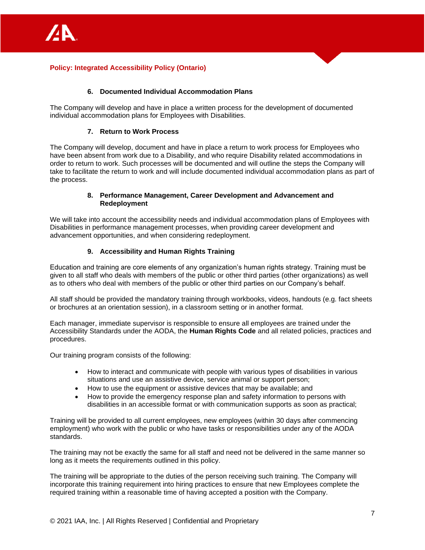

#### **6. Documented Individual Accommodation Plans**

The Company will develop and have in place a written process for the development of documented individual accommodation plans for Employees with Disabilities.

### **7. Return to Work Process**

The Company will develop, document and have in place a return to work process for Employees who have been absent from work due to a Disability, and who require Disability related accommodations in order to return to work. Such processes will be documented and will outline the steps the Company will take to facilitate the return to work and will include documented individual accommodation plans as part of the process.

### **8. Performance Management, Career Development and Advancement and Redeployment**

We will take into account the accessibility needs and individual accommodation plans of Employees with Disabilities in performance management processes, when providing career development and advancement opportunities, and when considering redeployment.

### **9. Accessibility and Human Rights Training**

Education and training are core elements of any organization's human rights strategy. Training must be given to all staff who deals with members of the public or other third parties (other organizations) as well as to others who deal with members of the public or other third parties on our Company's behalf.

All staff should be provided the mandatory training through workbooks, videos, handouts (e.g. fact sheets or brochures at an orientation session), in a classroom setting or in another format.

Each manager, immediate supervisor is responsible to ensure all employees are trained under the Accessibility Standards under the AODA, the **Human Rights Code** and all related policies, practices and procedures.

Our training program consists of the following:

- How to interact and communicate with people with various types of disabilities in various situations and use an assistive device, service animal or support person;
- How to use the equipment or assistive devices that may be available; and
- How to provide the emergency response plan and safety information to persons with disabilities in an accessible format or with communication supports as soon as practical;

Training will be provided to all current employees, new employees (within 30 days after commencing employment) who work with the public or who have tasks or responsibilities under any of the AODA standards.

The training may not be exactly the same for all staff and need not be delivered in the same manner so long as it meets the requirements outlined in this policy.

The training will be appropriate to the duties of the person receiving such training. The Company will incorporate this training requirement into hiring practices to ensure that new Employees complete the required training within a reasonable time of having accepted a position with the Company.